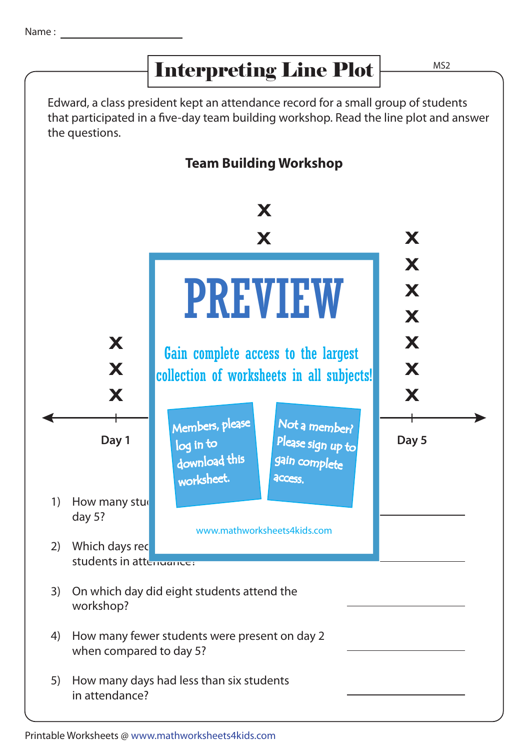## Interpreting Line Plot

MS2

Edward, a class president kept an attendance record for a small group of students that participated in a five-day team building workshop. Read the line plot and answer the questions.